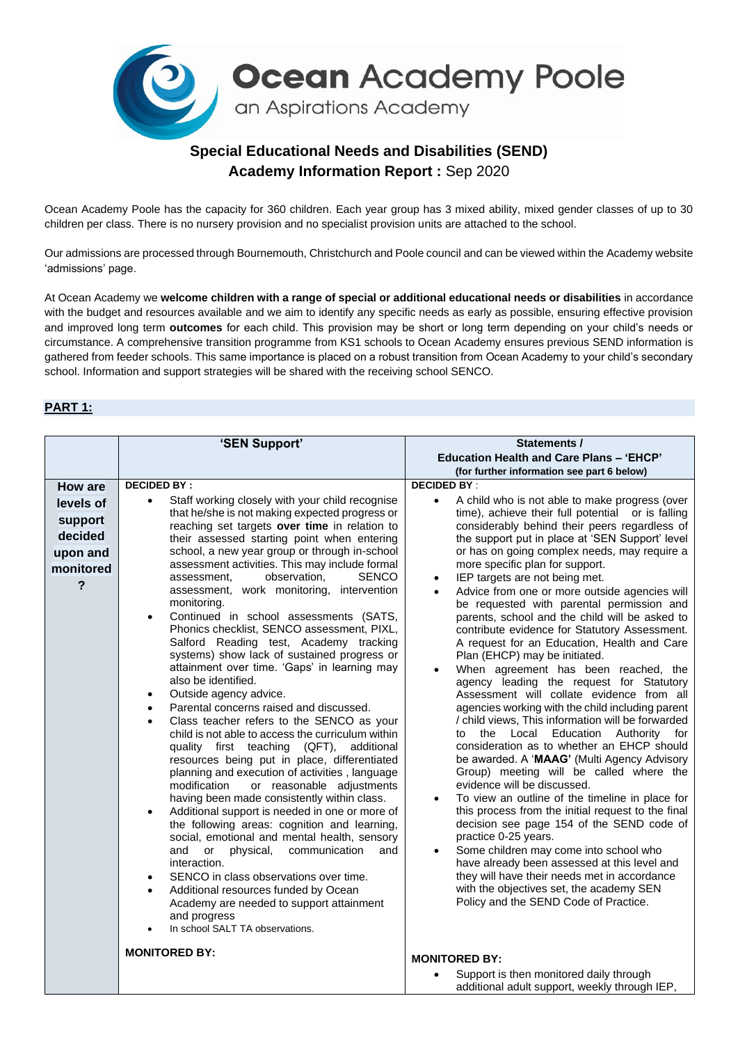

## **Special Educational Needs and Disabilities (SEND) Academy Information Report :** Sep 2020

Ocean Academy Poole has the capacity for 360 children. Each year group has 3 mixed ability, mixed gender classes of up to 30 children per class. There is no nursery provision and no specialist provision units are attached to the school.

Our admissions are processed through Bournemouth, Christchurch and Poole council and can be viewed within the Academy website 'admissions' page.

At Ocean Academy we **welcome children with a range of special or additional educational needs or disabilities** in accordance with the budget and resources available and we aim to identify any specific needs as early as possible, ensuring effective provision and improved long term **outcomes** for each child. This provision may be short or long term depending on your child's needs or circumstance. A comprehensive transition programme from KS1 schools to Ocean Academy ensures previous SEND information is gathered from feeder schools. This same importance is placed on a robust transition from Ocean Academy to your child's secondary school. Information and support strategies will be shared with the receiving school SENCO.

### **PART 1:**

|                                                                          | 'SEN Support'                                                                                                                                                                                                                                                                                                                                                                                                                                                                                                                                                                                                                                                                                                                                                                                                                                                                                                                                                                                                                                                                                                                                                                                                                                                                                                                                                                                                                                                                                                                                                                                                          | Statements /                                                                                                                                                                                                                                                                                                                                                                                                                                                                                                                                                                                                                                                                                                                                                                                                                                                                                                                                                                                                                                                                                                                                                                                                                                                                                                                                                                                                                                                                                                                    |  |
|--------------------------------------------------------------------------|------------------------------------------------------------------------------------------------------------------------------------------------------------------------------------------------------------------------------------------------------------------------------------------------------------------------------------------------------------------------------------------------------------------------------------------------------------------------------------------------------------------------------------------------------------------------------------------------------------------------------------------------------------------------------------------------------------------------------------------------------------------------------------------------------------------------------------------------------------------------------------------------------------------------------------------------------------------------------------------------------------------------------------------------------------------------------------------------------------------------------------------------------------------------------------------------------------------------------------------------------------------------------------------------------------------------------------------------------------------------------------------------------------------------------------------------------------------------------------------------------------------------------------------------------------------------------------------------------------------------|---------------------------------------------------------------------------------------------------------------------------------------------------------------------------------------------------------------------------------------------------------------------------------------------------------------------------------------------------------------------------------------------------------------------------------------------------------------------------------------------------------------------------------------------------------------------------------------------------------------------------------------------------------------------------------------------------------------------------------------------------------------------------------------------------------------------------------------------------------------------------------------------------------------------------------------------------------------------------------------------------------------------------------------------------------------------------------------------------------------------------------------------------------------------------------------------------------------------------------------------------------------------------------------------------------------------------------------------------------------------------------------------------------------------------------------------------------------------------------------------------------------------------------|--|
|                                                                          |                                                                                                                                                                                                                                                                                                                                                                                                                                                                                                                                                                                                                                                                                                                                                                                                                                                                                                                                                                                                                                                                                                                                                                                                                                                                                                                                                                                                                                                                                                                                                                                                                        | Education Health and Care Plans - 'EHCP'                                                                                                                                                                                                                                                                                                                                                                                                                                                                                                                                                                                                                                                                                                                                                                                                                                                                                                                                                                                                                                                                                                                                                                                                                                                                                                                                                                                                                                                                                        |  |
|                                                                          |                                                                                                                                                                                                                                                                                                                                                                                                                                                                                                                                                                                                                                                                                                                                                                                                                                                                                                                                                                                                                                                                                                                                                                                                                                                                                                                                                                                                                                                                                                                                                                                                                        | (for further information see part 6 below)                                                                                                                                                                                                                                                                                                                                                                                                                                                                                                                                                                                                                                                                                                                                                                                                                                                                                                                                                                                                                                                                                                                                                                                                                                                                                                                                                                                                                                                                                      |  |
| How are<br>levels of<br>support<br>decided<br>upon and<br>monitored<br>? | <b>DECIDED BY:</b><br>Staff working closely with your child recognise<br>$\bullet$<br>that he/she is not making expected progress or<br>reaching set targets over time in relation to<br>their assessed starting point when entering<br>school, a new year group or through in-school<br>assessment activities. This may include formal<br><b>SENCO</b><br>observation,<br>assessment,<br>assessment, work monitoring, intervention<br>monitoring.<br>Continued in school assessments (SATS,<br>$\bullet$<br>Phonics checklist, SENCO assessment, PIXL,<br>Salford Reading test, Academy tracking<br>systems) show lack of sustained progress or<br>attainment over time. 'Gaps' in learning may<br>also be identified.<br>Outside agency advice.<br>$\bullet$<br>Parental concerns raised and discussed.<br>$\bullet$<br>Class teacher refers to the SENCO as your<br>$\bullet$<br>child is not able to access the curriculum within<br>quality first teaching (QFT), additional<br>resources being put in place, differentiated<br>planning and execution of activities, language<br>modification<br>or reasonable adjustments<br>having been made consistently within class.<br>Additional support is needed in one or more of<br>$\bullet$<br>the following areas: cognition and learning,<br>social, emotional and mental health, sensory<br>communication<br>and or<br>physical,<br>and<br>interaction.<br>SENCO in class observations over time.<br>Additional resources funded by Ocean<br>Academy are needed to support attainment<br>and progress<br>In school SALT TA observations.<br><b>MONITORED BY:</b> | <b>DECIDED BY:</b><br>A child who is not able to make progress (over<br>$\bullet$<br>time), achieve their full potential or is falling<br>considerably behind their peers regardless of<br>the support put in place at 'SEN Support' level<br>or has on going complex needs, may require a<br>more specific plan for support.<br>IEP targets are not being met.<br>Advice from one or more outside agencies will<br>be requested with parental permission and<br>parents, school and the child will be asked to<br>contribute evidence for Statutory Assessment.<br>A request for an Education, Health and Care<br>Plan (EHCP) may be initiated.<br>When agreement has been reached, the<br>agency leading the request for Statutory<br>Assessment will collate evidence from all<br>agencies working with the child including parent<br>/ child views, This information will be forwarded<br>the Local<br>Education<br>Authority for<br>to<br>consideration as to whether an EHCP should<br>be awarded. A 'MAAG' (Multi Agency Advisory<br>Group) meeting will be called where the<br>evidence will be discussed.<br>To view an outline of the timeline in place for<br>this process from the initial request to the final<br>decision see page 154 of the SEND code of<br>practice 0-25 years.<br>Some children may come into school who<br>have already been assessed at this level and<br>they will have their needs met in accordance<br>with the objectives set, the academy SEN<br>Policy and the SEND Code of Practice. |  |
|                                                                          |                                                                                                                                                                                                                                                                                                                                                                                                                                                                                                                                                                                                                                                                                                                                                                                                                                                                                                                                                                                                                                                                                                                                                                                                                                                                                                                                                                                                                                                                                                                                                                                                                        | <b>MONITORED BY:</b>                                                                                                                                                                                                                                                                                                                                                                                                                                                                                                                                                                                                                                                                                                                                                                                                                                                                                                                                                                                                                                                                                                                                                                                                                                                                                                                                                                                                                                                                                                            |  |
|                                                                          |                                                                                                                                                                                                                                                                                                                                                                                                                                                                                                                                                                                                                                                                                                                                                                                                                                                                                                                                                                                                                                                                                                                                                                                                                                                                                                                                                                                                                                                                                                                                                                                                                        | Support is then monitored daily through<br>additional adult support, weekly through IEP,                                                                                                                                                                                                                                                                                                                                                                                                                                                                                                                                                                                                                                                                                                                                                                                                                                                                                                                                                                                                                                                                                                                                                                                                                                                                                                                                                                                                                                        |  |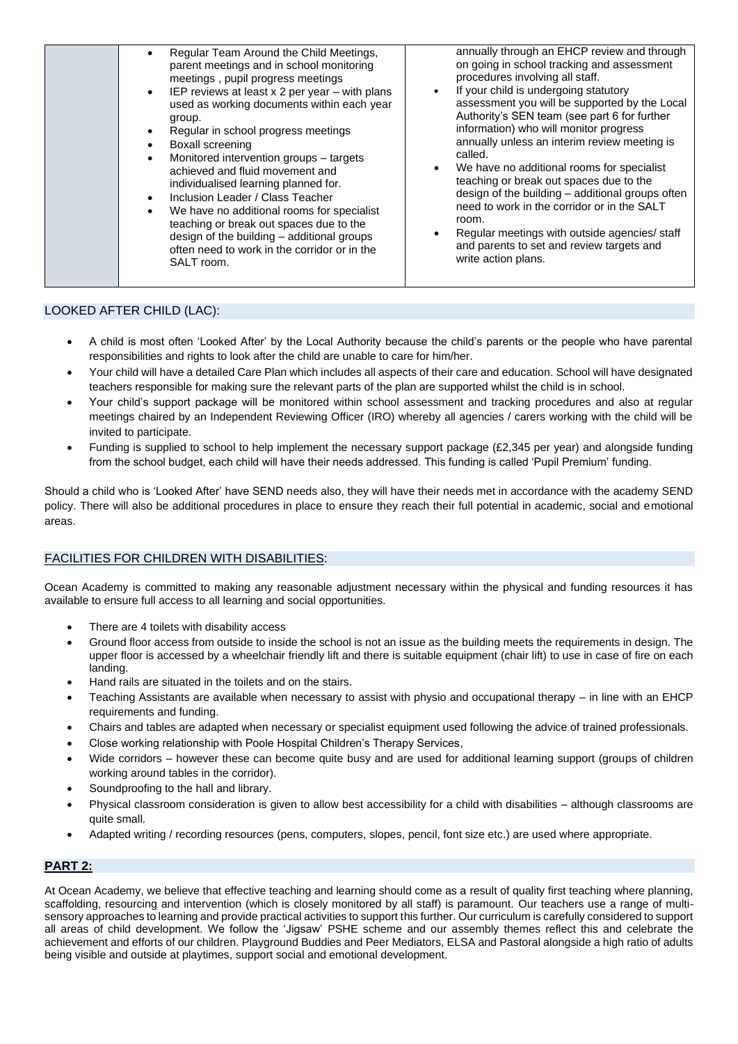### LOOKED AFTER CHILD (LAC):

- A child is most often 'Looked After' by the Local Authority because the child's parents or the people who have parental responsibilities and rights to look after the child are unable to care for him/her.
- Your child will have a detailed Care Plan which includes all aspects of their care and education. School will have designated teachers responsible for making sure the relevant parts of the plan are supported whilst the child is in school.
- Your child's support package will be monitored within school assessment and tracking procedures and also at regular meetings chaired by an Independent Reviewing Officer (IRO) whereby all agencies / carers working with the child will be invited to participate.
- Funding is supplied to school to help implement the necessary support package (£2,345 per year) and alongside funding from the school budget, each child will have their needs addressed. This funding is called 'Pupil Premium' funding.

Should a child who is 'Looked After' have SEND needs also, they will have their needs met in accordance with the academy SEND policy. There will also be additional procedures in place to ensure they reach their full potential in academic, social and emotional areas.

### FACILITIES FOR CHILDREN WITH DISABILITIES:

Ocean Academy is committed to making any reasonable adjustment necessary within the physical and funding resources it has available to ensure full access to all learning and social opportunities.

- There are 4 toilets with disability access
- Ground floor access from outside to inside the school is not an issue as the building meets the requirements in design. The upper floor is accessed by a wheelchair friendly lift and there is suitable equipment (chair lift) to use in case of fire on each landing.
- Hand rails are situated in the toilets and on the stairs.
- Teaching Assistants are available when necessary to assist with physio and occupational therapy in line with an EHCP requirements and funding.
- Chairs and tables are adapted when necessary or specialist equipment used following the advice of trained professionals.
- Close working relationship with Poole Hospital Children's Therapy Services,
- Wide corridors however these can become quite busy and are used for additional learning support (groups of children working around tables in the corridor).
- Soundproofing to the hall and library.
- Physical classroom consideration is given to allow best accessibility for a child with disabilities although classrooms are quite small.
- Adapted writing / recording resources (pens, computers, slopes, pencil, font size etc.) are used where appropriate.

### **PART 2:**

At Ocean Academy, we believe that effective teaching and learning should come as a result of quality first teaching where planning, scaffolding, resourcing and intervention (which is closely monitored by all staff) is paramount. Our teachers use a range of multisensory approaches to learning and provide practical activities to support this further. Our curriculum is carefully considered to support all areas of child development. We follow the 'Jigsaw' PSHE scheme and our assembly themes reflect this and celebrate the achievement and efforts of our children. Playground Buddies and Peer Mediators, ELSA and Pastoral alongside a high ratio of adults being visible and outside at playtimes, support social and emotional development.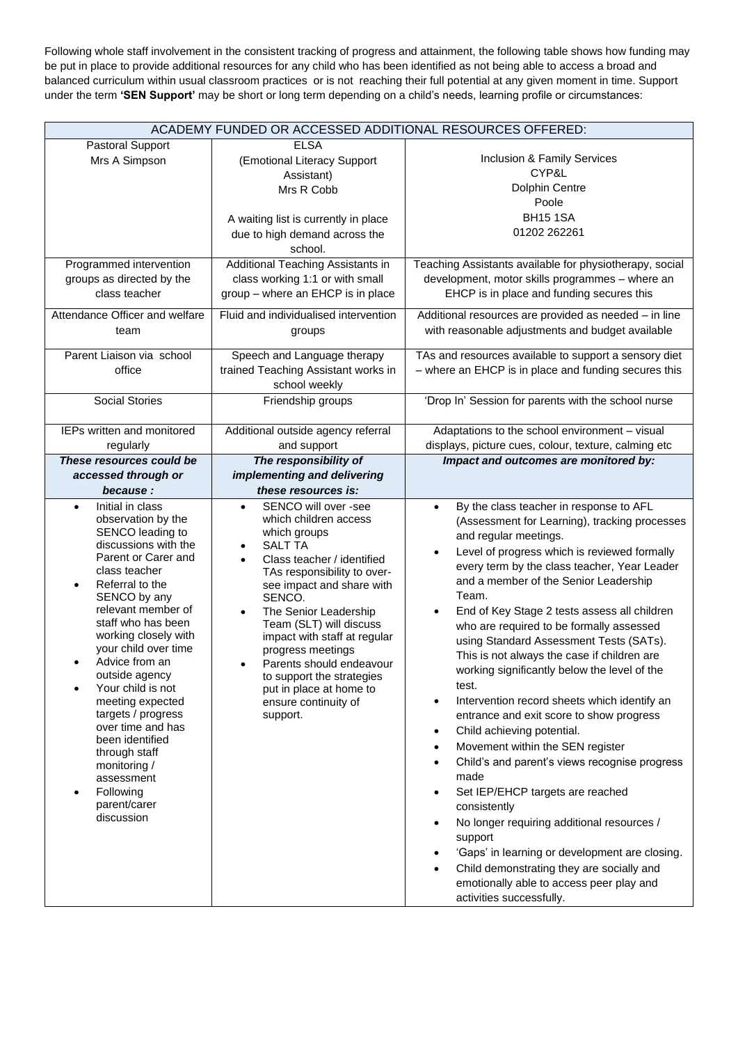Following whole staff involvement in the consistent tracking of progress and attainment, the following table shows how funding may be put in place to provide additional resources for any child who has been identified as not being able to access a broad and balanced curriculum within usual classroom practices or is not reaching their full potential at any given moment in time. Support under the term **'SEN Support'** may be short or long term depending on a child's needs, learning profile or circumstances:

| ACADEMY FUNDED OR ACCESSED ADDITIONAL RESOURCES OFFERED:                                                                                                                                                                                                                                                                                                                                                                                                                                                    |                                                                                                                                                                                                                                                                                                                                                                                                                                                |                                                                                                                                                                                                                                                                                                                                                                                                                                                                                                                                                                                                                                                                                                                                                                                                                                                                                                                                                                                                                                                                                                                                       |  |  |  |  |  |
|-------------------------------------------------------------------------------------------------------------------------------------------------------------------------------------------------------------------------------------------------------------------------------------------------------------------------------------------------------------------------------------------------------------------------------------------------------------------------------------------------------------|------------------------------------------------------------------------------------------------------------------------------------------------------------------------------------------------------------------------------------------------------------------------------------------------------------------------------------------------------------------------------------------------------------------------------------------------|---------------------------------------------------------------------------------------------------------------------------------------------------------------------------------------------------------------------------------------------------------------------------------------------------------------------------------------------------------------------------------------------------------------------------------------------------------------------------------------------------------------------------------------------------------------------------------------------------------------------------------------------------------------------------------------------------------------------------------------------------------------------------------------------------------------------------------------------------------------------------------------------------------------------------------------------------------------------------------------------------------------------------------------------------------------------------------------------------------------------------------------|--|--|--|--|--|
| Pastoral Support<br>Mrs A Simpson                                                                                                                                                                                                                                                                                                                                                                                                                                                                           | <b>ELSA</b><br>(Emotional Literacy Support<br>Assistant)<br>Mrs R Cobb<br>A waiting list is currently in place<br>due to high demand across the                                                                                                                                                                                                                                                                                                | Inclusion & Family Services<br>CYP&L<br><b>Dolphin Centre</b><br>Poole<br><b>BH15 1SA</b><br>01202 262261                                                                                                                                                                                                                                                                                                                                                                                                                                                                                                                                                                                                                                                                                                                                                                                                                                                                                                                                                                                                                             |  |  |  |  |  |
| Programmed intervention<br>groups as directed by the<br>class teacher<br>Attendance Officer and welfare<br>team<br>Parent Liaison via school                                                                                                                                                                                                                                                                                                                                                                | school.<br>Additional Teaching Assistants in<br>class working 1:1 or with small<br>group - where an EHCP is in place<br>Fluid and individualised intervention<br>groups<br>Speech and Language therapy                                                                                                                                                                                                                                         | Teaching Assistants available for physiotherapy, social<br>development, motor skills programmes - where an<br>EHCP is in place and funding secures this<br>Additional resources are provided as needed - in line<br>with reasonable adjustments and budget available<br>TAs and resources available to support a sensory diet                                                                                                                                                                                                                                                                                                                                                                                                                                                                                                                                                                                                                                                                                                                                                                                                         |  |  |  |  |  |
| office                                                                                                                                                                                                                                                                                                                                                                                                                                                                                                      | trained Teaching Assistant works in<br>school weekly                                                                                                                                                                                                                                                                                                                                                                                           | - where an EHCP is in place and funding secures this                                                                                                                                                                                                                                                                                                                                                                                                                                                                                                                                                                                                                                                                                                                                                                                                                                                                                                                                                                                                                                                                                  |  |  |  |  |  |
| <b>Social Stories</b><br>IEPs written and monitored                                                                                                                                                                                                                                                                                                                                                                                                                                                         | Friendship groups<br>Additional outside agency referral                                                                                                                                                                                                                                                                                                                                                                                        | 'Drop In' Session for parents with the school nurse<br>Adaptations to the school environment - visual                                                                                                                                                                                                                                                                                                                                                                                                                                                                                                                                                                                                                                                                                                                                                                                                                                                                                                                                                                                                                                 |  |  |  |  |  |
| regularly                                                                                                                                                                                                                                                                                                                                                                                                                                                                                                   | and support                                                                                                                                                                                                                                                                                                                                                                                                                                    | displays, picture cues, colour, texture, calming etc                                                                                                                                                                                                                                                                                                                                                                                                                                                                                                                                                                                                                                                                                                                                                                                                                                                                                                                                                                                                                                                                                  |  |  |  |  |  |
| These resources could be<br>accessed through or<br>because:                                                                                                                                                                                                                                                                                                                                                                                                                                                 | The responsibility of<br>implementing and delivering<br>these resources is:                                                                                                                                                                                                                                                                                                                                                                    | Impact and outcomes are monitored by:                                                                                                                                                                                                                                                                                                                                                                                                                                                                                                                                                                                                                                                                                                                                                                                                                                                                                                                                                                                                                                                                                                 |  |  |  |  |  |
| Initial in class<br>$\bullet$<br>observation by the<br>SENCO leading to<br>discussions with the<br>Parent or Carer and<br>class teacher<br>Referral to the<br>SENCO by any<br>relevant member of<br>staff who has been<br>working closely with<br>your child over time<br>Advice from an<br>outside agency<br>Your child is not<br>meeting expected<br>targets / progress<br>over time and has<br>been identified<br>through staff<br>monitoring /<br>assessment<br>Following<br>parent/carer<br>discussion | SENCO will over -see<br>$\bullet$<br>which children access<br>which groups<br><b>SALT TA</b><br>Class teacher / identified<br>TAs responsibility to over-<br>see impact and share with<br>SENCO.<br>The Senior Leadership<br>$\bullet$<br>Team (SLT) will discuss<br>impact with staff at regular<br>progress meetings<br>Parents should endeavour<br>to support the strategies<br>put in place at home to<br>ensure continuity of<br>support. | By the class teacher in response to AFL<br>$\bullet$<br>(Assessment for Learning), tracking processes<br>and regular meetings.<br>Level of progress which is reviewed formally<br>every term by the class teacher, Year Leader<br>and a member of the Senior Leadership<br>Team.<br>End of Key Stage 2 tests assess all children<br>who are required to be formally assessed<br>using Standard Assessment Tests (SATs).<br>This is not always the case if children are<br>working significantly below the level of the<br>test.<br>Intervention record sheets which identify an<br>entrance and exit score to show progress<br>Child achieving potential.<br>$\bullet$<br>Movement within the SEN register<br>$\bullet$<br>Child's and parent's views recognise progress<br>$\bullet$<br>made<br>Set IEP/EHCP targets are reached<br>$\bullet$<br>consistently<br>No longer requiring additional resources /<br>$\bullet$<br>support<br>'Gaps' in learning or development are closing.<br>$\bullet$<br>Child demonstrating they are socially and<br>$\bullet$<br>emotionally able to access peer play and<br>activities successfully. |  |  |  |  |  |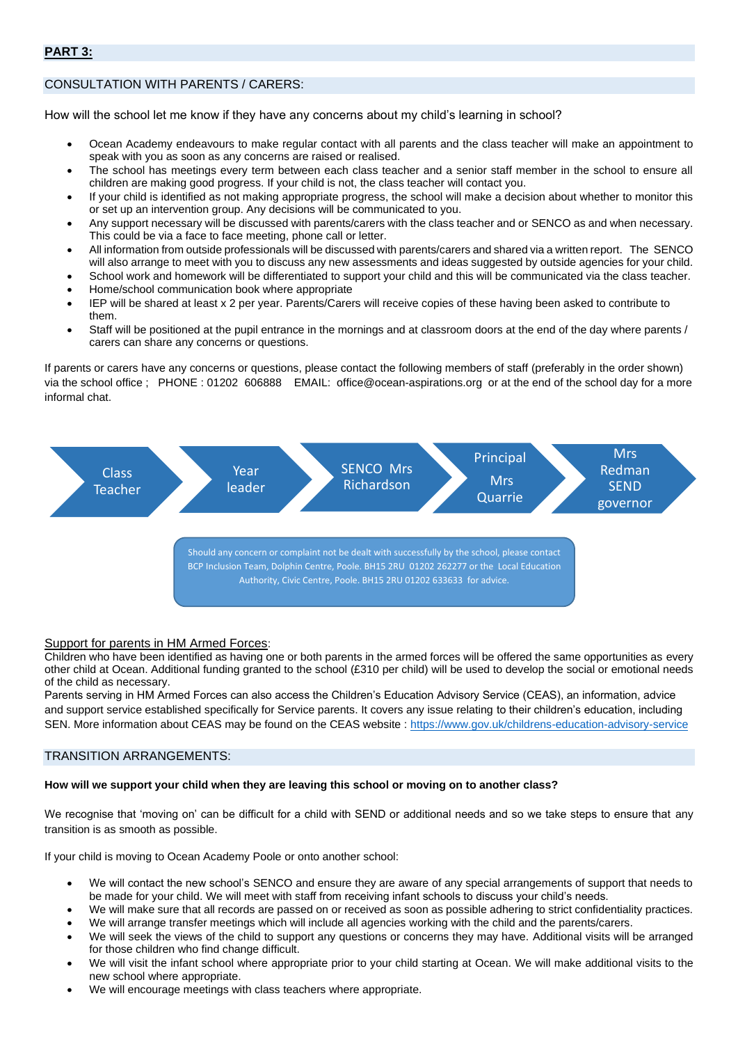### **PART 3:**

### CONSULTATION WITH PARENTS / CARERS:

How will the school let me know if they have any concerns about my child's learning in school?

- Ocean Academy endeavours to make regular contact with all parents and the class teacher will make an appointment to speak with you as soon as any concerns are raised or realised.
- The school has meetings every term between each class teacher and a senior staff member in the school to ensure all children are making good progress. If your child is not, the class teacher will contact you.
- If your child is identified as not making appropriate progress, the school will make a decision about whether to monitor this or set up an intervention group. Any decisions will be communicated to you.
- Any support necessary will be discussed with parents/carers with the class teacher and or SENCO as and when necessary. This could be via a face to face meeting, phone call or letter.
- All information from outside professionals will be discussed with parents/carers and shared via a written report. The SENCO
- will also arrange to meet with you to discuss any new assessments and ideas suggested by outside agencies for your child.
- School work and homework will be differentiated to support your child and this will be communicated via the class teacher.
- Home/school communication book where appropriate
- IEP will be shared at least x 2 per year. Parents/Carers will receive copies of these having been asked to contribute to them.
- Staff will be positioned at the pupil entrance in the mornings and at classroom doors at the end of the day where parents / carers can share any concerns or questions.

If parents or carers have any concerns or questions, please contact the following members of staff (preferably in the order shown) via the school office ; PHONE : 01202 606888 EMAIL: office@ocean-aspirations.org or at the end of the school day for a more informal chat.



Authority, Civic Centre, Poole. BH15 2RU 01202 633633 for advice.

#### Support for parents in HM Armed Forces:

Children who have been identified as having one or both parents in the armed forces will be offered the same opportunities as every other child at Ocean. Additional funding granted to the school (£310 per child) will be used to develop the social or emotional needs of the child as necessary.

Parents serving in HM Armed Forces can also access the Children's Education Advisory Service (CEAS), an information, advice and support service established specifically for Service parents. It covers any issue relating to their children's education, including SEN. More information about CEAS may be found on the CEAS website :<https://www.gov.uk/childrens-education-advisory-service>

#### TRANSITION ARRANGEMENTS:

#### **How will we support your child when they are leaving this school or moving on to another class?**

We recognise that 'moving on' can be difficult for a child with SEND or additional needs and so we take steps to ensure that any transition is as smooth as possible.

If your child is moving to Ocean Academy Poole or onto another school:

- We will contact the new school's SENCO and ensure they are aware of any special arrangements of support that needs to be made for your child. We will meet with staff from receiving infant schools to discuss your child's needs.
- We will make sure that all records are passed on or received as soon as possible adhering to strict confidentiality practices.
- We will arrange transfer meetings which will include all agencies working with the child and the parents/carers.
- We will seek the views of the child to support any questions or concerns they may have. Additional visits will be arranged for those children who find change difficult.
- We will visit the infant school where appropriate prior to your child starting at Ocean. We will make additional visits to the new school where appropriate.
- We will encourage meetings with class teachers where appropriate.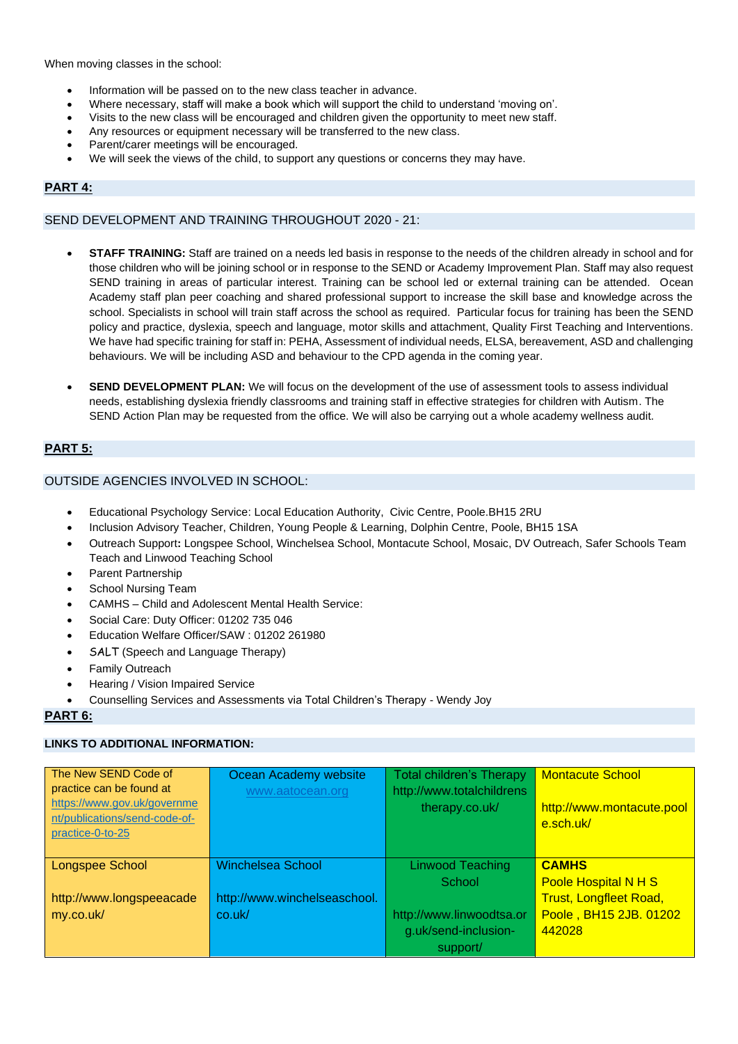When moving classes in the school:

- Information will be passed on to the new class teacher in advance.
- Where necessary, staff will make a book which will support the child to understand 'moving on'.
- Visits to the new class will be encouraged and children given the opportunity to meet new staff.
- Any resources or equipment necessary will be transferred to the new class.
- Parent/carer meetings will be encouraged.
- We will seek the views of the child, to support any questions or concerns they may have.

### **PART 4:**

### SEND DEVELOPMENT AND TRAINING THROUGHOUT 2020 - 21:

- **STAFF TRAINING:** Staff are trained on a needs led basis in response to the needs of the children already in school and for those children who will be joining school or in response to the SEND or Academy Improvement Plan. Staff may also request SEND training in areas of particular interest. Training can be school led or external training can be attended. Ocean Academy staff plan peer coaching and shared professional support to increase the skill base and knowledge across the school. Specialists in school will train staff across the school as required. Particular focus for training has been the SEND policy and practice, dyslexia, speech and language, motor skills and attachment, Quality First Teaching and Interventions. We have had specific training for staff in: PEHA, Assessment of individual needs, ELSA, bereavement, ASD and challenging behaviours. We will be including ASD and behaviour to the CPD agenda in the coming year.
- **SEND DEVELOPMENT PLAN:** We will focus on the development of the use of assessment tools to assess individual needs, establishing dyslexia friendly classrooms and training staff in effective strategies for children with Autism. The SEND Action Plan may be requested from the office. We will also be carrying out a whole academy wellness audit.

### **PART 5:**

### OUTSIDE AGENCIES INVOLVED IN SCHOOL:

- Educational Psychology Service: Local Education Authority, Civic Centre, Poole.BH15 2RU
- Inclusion Advisory Teacher, Children, Young People & Learning, Dolphin Centre, Poole, BH15 1SA
- Outreach Support**:** Longspee School, Winchelsea School, Montacute School, Mosaic, DV Outreach, Safer Schools Team Teach and Linwood Teaching School
- Parent Partnership
- School Nursing Team
- CAMHS Child and Adolescent Mental Health Service:
- Social Care: Duty Officer: 01202 735 046
- Education Welfare Officer/SAW : 01202 261980
- SALT (Speech and Language Therapy)
- **Family Outreach**
- Hearing / Vision Impaired Service
- Counselling Services and Assessments via Total Children's Therapy Wendy Joy

### **PART 6:**

### **LINKS TO ADDITIONAL INFORMATION:**

| The New SEND Code of<br>practice can be found at<br>https://www.gov.uk/governme<br>nt/publications/send-code-of-<br>practice-0-to-25 | Ocean Academy website<br>www.aatocean.org | <b>Total children's Therapy</b><br>http://www.totalchildrens<br>therapy.co.uk/ | <b>Montacute School</b><br>http://www.montacute.pool<br>e.sch.uk/ |
|--------------------------------------------------------------------------------------------------------------------------------------|-------------------------------------------|--------------------------------------------------------------------------------|-------------------------------------------------------------------|
| Longspee School                                                                                                                      | <b>Winchelsea School</b>                  | <b>Linwood Teaching</b>                                                        | <b>CAMHS</b>                                                      |
|                                                                                                                                      |                                           | School                                                                         | Poole Hospital N H S                                              |
| http://www.longspeeacade                                                                                                             | http://www.winchelseaschool.              |                                                                                | <b>Trust, Longfleet Road,</b>                                     |
| my.co.uk/                                                                                                                            | co.uk/                                    | http://www.linwoodtsa.or                                                       | Poole, BH15 2JB. 01202                                            |
|                                                                                                                                      |                                           | g.uk/send-inclusion-                                                           | 442028                                                            |
|                                                                                                                                      |                                           | support/                                                                       |                                                                   |